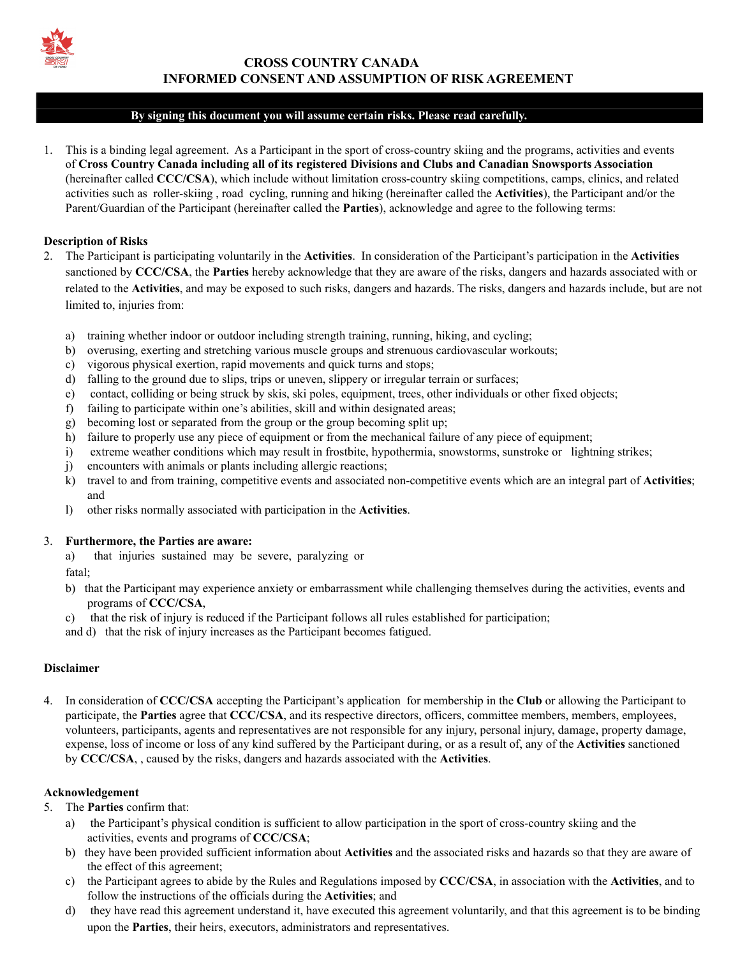

# **CROSS COUNTRY CANADA INFORMED CONSENT AND ASSUMPTION OF RISK AGREEMENT**

### **By signing this document you will assume certain risks. Please read carefully.**

1. This is a binding legal agreement. As a Participant in the sport of cross-country skiing and the programs, activities and events of **Cross Country Canada including all of its registered Divisions and Clubs and Canadian Snowsports Association** (hereinafter called **CCC/CSA**), which include without limitation cross-country skiing competitions, camps, clinics, and related activities such as roller-skiing , road cycling, running and hiking (hereinafter called the **Activities**), the Participant and/or the Parent/Guardian of the Participant (hereinafter called the **Parties**), acknowledge and agree to the following terms:

#### **Description of Risks**

- 2. The Participant is participating voluntarily in the **Activities**. In consideration of the Participant's participation in the **Activities** sanctioned by **CCC/CSA**, the **Parties** hereby acknowledge that they are aware of the risks, dangers and hazards associated with or related to the **Activities**, and may be exposed to such risks, dangers and hazards. The risks, dangers and hazards include, but are not limited to, injuries from:
	- a) training whether indoor or outdoor including strength training, running, hiking, and cycling;
	- b) overusing, exerting and stretching various muscle groups and strenuous cardiovascular workouts;
	- c) vigorous physical exertion, rapid movements and quick turns and stops;
	- d) falling to the ground due to slips, trips or uneven, slippery or irregular terrain or surfaces;
	- e) contact, colliding or being struck by skis, ski poles, equipment, trees, other individuals or other fixed objects;
	- f) failing to participate within one's abilities, skill and within designated areas;
	- g) becoming lost or separated from the group or the group becoming split up;
	- h) failure to properly use any piece of equipment or from the mechanical failure of any piece of equipment;
	- i) extreme weather conditions which may result in frostbite, hypothermia, snowstorms, sunstroke or lightning strikes;
	- j) encounters with animals or plants including allergic reactions;
	- k) travel to and from training, competitive events and associated non-competitive events which are an integral part of **Activities**; and
	- l) other risks normally associated with participation in the **Activities**.

#### 3. **Furthermore, the Parties are aware:**

a) that injuries sustained may be severe, paralyzing or

fatal;

- b) that the Participant may experience anxiety or embarrassment while challenging themselves during the activities, events and programs of **CCC/CSA**,
- c) that the risk of injury is reduced if the Participant follows all rules established for participation;

and d) that the risk of injury increases as the Participant becomes fatigued.

## **Disclaimer**

4. In consideration of **CCC/CSA** accepting the Participant's application for membership in the **Club** or allowing the Participant to participate, the **Parties** agree that **CCC/CSA**, and its respective directors, officers, committee members, members, employees, volunteers, participants, agents and representatives are not responsible for any injury, personal injury, damage, property damage, expense, loss of income or loss of any kind suffered by the Participant during, or as a result of, any of the **Activities** sanctioned by **CCC/CSA**, , caused by the risks, dangers and hazards associated with the **Activities**.

# **Acknowledgement**

- 5. The **Parties** confirm that:
	- a) the Participant's physical condition is sufficient to allow participation in the sport of cross-country skiing and the activities, events and programs of **CCC/CSA**;
	- b) they have been provided sufficient information about **Activities** and the associated risks and hazards so that they are aware of the effect of this agreement;
	- c) the Participant agrees to abide by the Rules and Regulations imposed by **CCC/CSA**, in association with the **Activities**, and to follow the instructions of the officials during the **Activities**; and
	- d) they have read this agreement understand it, have executed this agreement voluntarily, and that this agreement is to be binding upon the **Parties**, their heirs, executors, administrators and representatives.